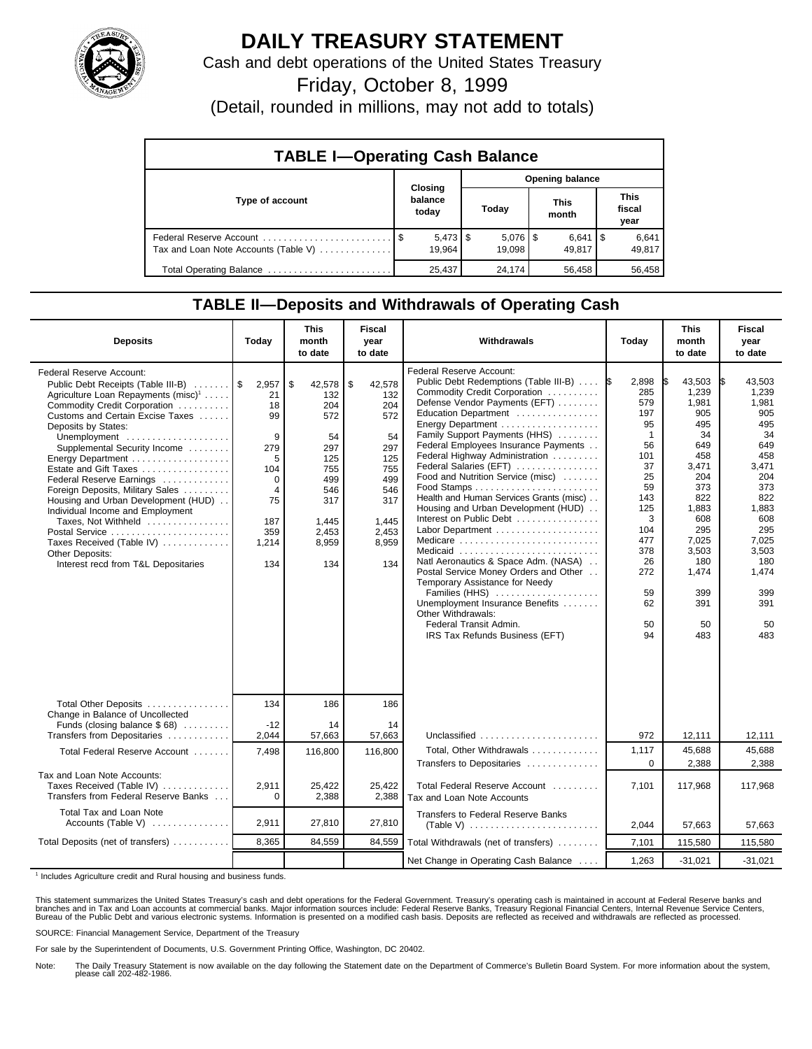

## **DAILY TREASURY STATEMENT**

Cash and debt operations of the United States Treasury

Friday, October 8, 1999

(Detail, rounded in millions, may not add to totals)

| <b>TABLE I-Operating Cash Balance</b> |                                 |  |                        |  |                      |  |                               |  |  |
|---------------------------------------|---------------------------------|--|------------------------|--|----------------------|--|-------------------------------|--|--|
|                                       |                                 |  | <b>Opening balance</b> |  |                      |  |                               |  |  |
| Type of account                       | Closing<br>balance<br>today     |  | Today                  |  | <b>This</b><br>month |  | <b>This</b><br>fiscal<br>year |  |  |
| Tax and Loan Note Accounts (Table V)  | $5,473$ $\frac{1}{9}$<br>19.964 |  | $5,076$   \$<br>19.098 |  | $6,641$ S<br>49.817  |  | 6,641<br>49,817               |  |  |
| Total Operating Balance               | 25.437                          |  | 24,174                 |  | 56,458               |  | 56,458                        |  |  |

## **TABLE II—Deposits and Withdrawals of Operating Cash**

| <b>Deposits</b>                                                                                                                                                                                                                                                                                                                                                                                                                                                                                                                                                                       | Today                                                                                                             | <b>This</b><br>month<br>to date                                                                                     | <b>Fiscal</b><br>year<br>to date                                                                                    | Withdrawals                                                                                                                                                                                                                                                                                                                                                                                                                                                                                                                                                                                                                                                                                                                                                                         | Today                                                                                                                                                                 | <b>This</b><br>month<br>to date                                                                                                                                              | <b>Fiscal</b><br>year<br>to date                                                                                                                                                    |
|---------------------------------------------------------------------------------------------------------------------------------------------------------------------------------------------------------------------------------------------------------------------------------------------------------------------------------------------------------------------------------------------------------------------------------------------------------------------------------------------------------------------------------------------------------------------------------------|-------------------------------------------------------------------------------------------------------------------|---------------------------------------------------------------------------------------------------------------------|---------------------------------------------------------------------------------------------------------------------|-------------------------------------------------------------------------------------------------------------------------------------------------------------------------------------------------------------------------------------------------------------------------------------------------------------------------------------------------------------------------------------------------------------------------------------------------------------------------------------------------------------------------------------------------------------------------------------------------------------------------------------------------------------------------------------------------------------------------------------------------------------------------------------|-----------------------------------------------------------------------------------------------------------------------------------------------------------------------|------------------------------------------------------------------------------------------------------------------------------------------------------------------------------|-------------------------------------------------------------------------------------------------------------------------------------------------------------------------------------|
| Federal Reserve Account:<br>Public Debt Receipts (Table III-B)<br>Agriculture Loan Repayments (misc) <sup>1</sup><br>Commodity Credit Corporation<br>Customs and Certain Excise Taxes<br>Deposits by States:<br>Unemployment<br>Supplemental Security Income<br>Energy Department<br>Estate and Gift Taxes<br>Federal Reserve Earnings<br>Foreign Deposits, Military Sales<br>Housing and Urban Development (HUD)<br>Individual Income and Employment<br>Taxes, Not Withheld<br>Postal Service<br>Taxes Received (Table IV)<br>Other Deposits:<br>Interest recd from T&L Depositaries | 2,957<br>21<br>18<br>99<br>9<br>279<br>5<br>104<br>$\Omega$<br>$\overline{4}$<br>75<br>187<br>359<br>1,214<br>134 | \$<br>42,578<br>132<br>204<br>572<br>54<br>297<br>125<br>755<br>499<br>546<br>317<br>1,445<br>2,453<br>8,959<br>134 | \$<br>42,578<br>132<br>204<br>572<br>54<br>297<br>125<br>755<br>499<br>546<br>317<br>1.445<br>2,453<br>8,959<br>134 | <b>Federal Reserve Account:</b><br>Public Debt Redemptions (Table III-B)<br>Commodity Credit Corporation<br>Defense Vendor Payments (EFT)<br>Education Department<br>Energy Department<br>Family Support Payments (HHS)<br>Federal Employees Insurance Payments<br>Federal Highway Administration<br>Federal Salaries (EFT)<br>Food and Nutrition Service (misc)<br>Health and Human Services Grants (misc)<br>Housing and Urban Development (HUD)<br>Interest on Public Debt<br>Labor Department<br>Medicare<br>Medicaid<br>Natl Aeronautics & Space Adm. (NASA)<br>Postal Service Money Orders and Other<br>Temporary Assistance for Needy<br>Families (HHS)<br>Unemployment Insurance Benefits<br>Other Withdrawals:<br>Federal Transit Admin.<br>IRS Tax Refunds Business (EFT) | 2,898<br>1\$<br>285<br>579<br>197<br>95<br>$\overline{1}$<br>56<br>101<br>37<br>25<br>59<br>143<br>125<br>3<br>104<br>477<br>378<br>26<br>272<br>59<br>62<br>50<br>94 | 43,503<br>1.239<br>1,981<br>905<br>495<br>34<br>649<br>458<br>3,471<br>204<br>373<br>822<br>1,883<br>608<br>295<br>7,025<br>3,503<br>180<br>1,474<br>399<br>391<br>50<br>483 | 43,503<br>1\$<br>1.239<br>1,981<br>905<br>495<br>34<br>649<br>458<br>3,471<br>204<br>373<br>822<br>1,883<br>608<br>295<br>7,025<br>3,503<br>180<br>1,474<br>399<br>391<br>50<br>483 |
| Total Other Deposits<br>Change in Balance of Uncollected                                                                                                                                                                                                                                                                                                                                                                                                                                                                                                                              | 134                                                                                                               | 186                                                                                                                 | 186                                                                                                                 |                                                                                                                                                                                                                                                                                                                                                                                                                                                                                                                                                                                                                                                                                                                                                                                     |                                                                                                                                                                       |                                                                                                                                                                              |                                                                                                                                                                                     |
| Funds (closing balance \$68)<br>Transfers from Depositaries                                                                                                                                                                                                                                                                                                                                                                                                                                                                                                                           | $-12$<br>2,044                                                                                                    | 14<br>57,663                                                                                                        | 14<br>57,663                                                                                                        | Unclassified                                                                                                                                                                                                                                                                                                                                                                                                                                                                                                                                                                                                                                                                                                                                                                        | 972                                                                                                                                                                   | 12,111                                                                                                                                                                       | 12,111                                                                                                                                                                              |
| Total Federal Reserve Account                                                                                                                                                                                                                                                                                                                                                                                                                                                                                                                                                         | 7,498                                                                                                             | 116,800                                                                                                             | 116,800                                                                                                             | Total, Other Withdrawals                                                                                                                                                                                                                                                                                                                                                                                                                                                                                                                                                                                                                                                                                                                                                            | 1,117                                                                                                                                                                 | 45,688                                                                                                                                                                       | 45,688                                                                                                                                                                              |
| Tax and Loan Note Accounts:                                                                                                                                                                                                                                                                                                                                                                                                                                                                                                                                                           |                                                                                                                   |                                                                                                                     |                                                                                                                     | Transfers to Depositaries                                                                                                                                                                                                                                                                                                                                                                                                                                                                                                                                                                                                                                                                                                                                                           | $\mathbf 0$                                                                                                                                                           | 2,388                                                                                                                                                                        | 2,388                                                                                                                                                                               |
| Taxes Received (Table IV)<br>Transfers from Federal Reserve Banks                                                                                                                                                                                                                                                                                                                                                                                                                                                                                                                     | 2,911<br>$\Omega$                                                                                                 | 25,422<br>2,388                                                                                                     | 25,422<br>2,388                                                                                                     | Total Federal Reserve Account<br>Tax and Loan Note Accounts                                                                                                                                                                                                                                                                                                                                                                                                                                                                                                                                                                                                                                                                                                                         | 7,101                                                                                                                                                                 | 117,968                                                                                                                                                                      | 117,968                                                                                                                                                                             |
| Total Tax and Loan Note<br>Accounts (Table V)                                                                                                                                                                                                                                                                                                                                                                                                                                                                                                                                         | 2,911                                                                                                             | 27,810                                                                                                              | 27,810                                                                                                              | Transfers to Federal Reserve Banks                                                                                                                                                                                                                                                                                                                                                                                                                                                                                                                                                                                                                                                                                                                                                  | 2,044                                                                                                                                                                 | 57,663                                                                                                                                                                       | 57,663                                                                                                                                                                              |
| Total Deposits (net of transfers)                                                                                                                                                                                                                                                                                                                                                                                                                                                                                                                                                     | 8.365                                                                                                             | 84,559                                                                                                              | 84,559                                                                                                              | Total Withdrawals (net of transfers)                                                                                                                                                                                                                                                                                                                                                                                                                                                                                                                                                                                                                                                                                                                                                | 7,101                                                                                                                                                                 | 115,580                                                                                                                                                                      | 115,580                                                                                                                                                                             |
|                                                                                                                                                                                                                                                                                                                                                                                                                                                                                                                                                                                       |                                                                                                                   |                                                                                                                     |                                                                                                                     | Net Change in Operating Cash Balance                                                                                                                                                                                                                                                                                                                                                                                                                                                                                                                                                                                                                                                                                                                                                | 1,263                                                                                                                                                                 | $-31,021$                                                                                                                                                                    | $-31,021$                                                                                                                                                                           |

<sup>1</sup> Includes Agriculture credit and Rural housing and business funds.

This statement summarizes the United States Treasury's cash and debt operations for the Federal Government. Treasury's operating cash is maintained in account at Federal Reserve banks and<br>branches and in Tax and Loan accou

SOURCE: Financial Management Service, Department of the Treasury

For sale by the Superintendent of Documents, U.S. Government Printing Office, Washington, DC 20402.

Note: The Daily Treasury Statement is now available on the day following the Statement date on the Department of Commerce's Bulletin Board System. For more information about the system, please call 202-482-1986.